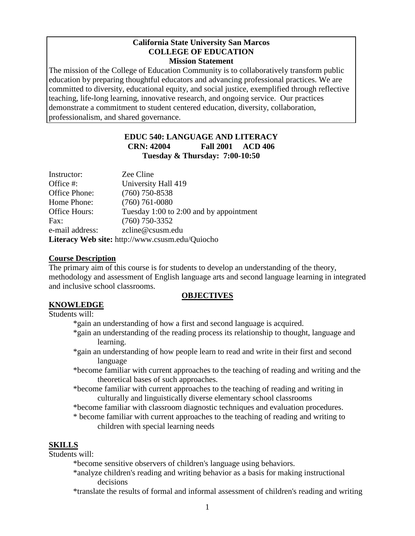#### **California State University San Marcos COLLEGE OF EDUCATION Mission Statement**

The mission of the College of Education Community is to collaboratively transform public education by preparing thoughtful educators and advancing professional practices. We are committed to diversity, educational equity, and social justice, exemplified through reflective teaching, life-long learning, innovative research, and ongoing service. Our practices demonstrate a commitment to student centered education, diversity, collaboration, professionalism, and shared governance.

## **EDUC 540: LANGUAGE AND LITERACY CRN: 42004 Fall 2001 ACD 406 Tuesday & Thursday: 7:00-10:50**

| Instructor:                                            | Zee Cline                               |  |
|--------------------------------------------------------|-----------------------------------------|--|
| Office #:                                              | University Hall 419                     |  |
| Office Phone:                                          | $(760)$ 750-8538                        |  |
| Home Phone:                                            | $(760)$ 761-0080                        |  |
| Office Hours:                                          | Tuesday 1:00 to 2:00 and by appointment |  |
| Fax:                                                   | $(760)$ 750-3352                        |  |
| e-mail address:                                        | zcline@csusm.edu                        |  |
| <b>Literacy Web site:</b> http://www.csusm.edu/Quiocho |                                         |  |

### **Course Description**

The primary aim of this course is for students to develop an understanding of the theory, methodology and assessment of English language arts and second language learning in integrated and inclusive school classrooms.

### **OBJECTIVES**

## **KNOWLEDGE**

## Students will:

- \*gain an understanding of how a first and second language is acquired.
- \*gain an understanding of the reading process its relationship to thought, language and learning.
- \*gain an understanding of how people learn to read and write in their first and second language
- \*become familiar with current approaches to the teaching of reading and writing and the theoretical bases of such approaches.
- \*become familiar with current approaches to the teaching of reading and writing in culturally and linguistically diverse elementary school classrooms
- \*become familiar with classroom diagnostic techniques and evaluation procedures.
- \* become familiar with current approaches to the teaching of reading and writing to children with special learning needs

# **SKILLS**

Students will:

\*become sensitive observers of children's language using behaviors.

- \*analyze children's reading and writing behavior as a basis for making instructional decisions
- \*translate the results of formal and informal assessment of children's reading and writing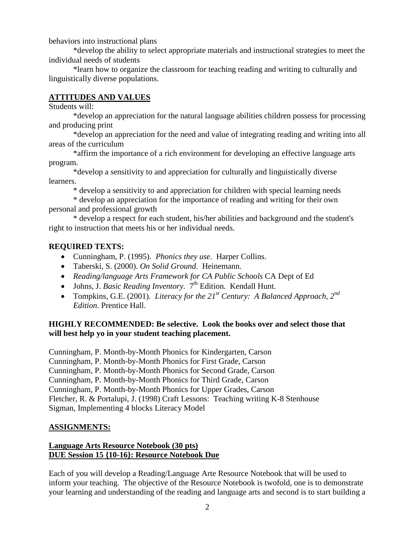behaviors into instructional plans

\*develop the ability to select appropriate materials and instructional strategies to meet the individual needs of students

\*learn how to organize the classroom for teaching reading and writing to culturally and linguistically diverse populations.

# **ATTITUDES AND VALUES**

Students will:

\*develop an appreciation for the natural language abilities children possess for processing and producing print

\*develop an appreciation for the need and value of integrating reading and writing into all areas of the curriculum

\*affirm the importance of a rich environment for developing an effective language arts program.

\*develop a sensitivity to and appreciation for culturally and linguistically diverse learners.

\* develop a sensitivity to and appreciation for children with special learning needs

\* develop an appreciation for the importance of reading and writing for their own personal and professional growth

\* develop a respect for each student, his/her abilities and background and the student's right to instruction that meets his or her individual needs.

# **REQUIRED TEXTS:**

- Cunningham, P. (1995). *Phonics they use*. Harper Collins.
- Taberski, S. (2000). *On Solid Ground*. Heinemann.
- *Reading/language Arts Framework for CA Public Schools* CA Dept of Ed
- Johns, J. *Basic Reading Inventory.* 7<sup>th</sup> Edition. Kendall Hunt.
- Tompkins, G.E. (2001). *Literacy for the 21st Century: A Balanced Approach, 2nd Edition.* Prentice Hall.

## **HIGHLY RECOMMENDED: Be selective. Look the books over and select those that will best help yo in your student teaching placement.**

Cunningham, P. Month-by-Month Phonics for Kindergarten, Carson Cunningham, P. Month-by-Month Phonics for First Grade, Carson Cunningham, P. Month-by-Month Phonics for Second Grade, Carson Cunningham, P. Month-by-Month Phonics for Third Grade, Carson Cunningham, P. Month-by-Month Phonics for Upper Grades, Carson Fletcher, R. & Portalupi, J. (1998) Craft Lessons: Teaching writing K-8 Stenhouse Sigman, Implementing 4 blocks Literacy Model

## **ASSIGNMENTS:**

## **Language Arts Resource Notebook (30 pts) DUE Session 15 {10-16}: Resource Notebook Due**

Each of you will develop a Reading/Language Arte Resource Notebook that will be used to inform your teaching. The objective of the Resource Notebook is twofold, one is to demonstrate your learning and understanding of the reading and language arts and second is to start building a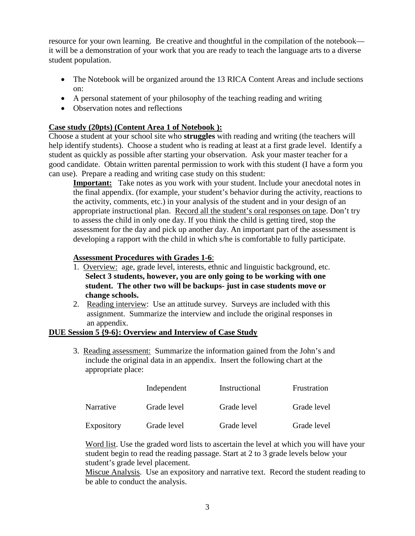resource for your own learning. Be creative and thoughtful in the compilation of the notebook it will be a demonstration of your work that you are ready to teach the language arts to a diverse student population.

- The Notebook will be organized around the 13 RICA Content Areas and include sections on:
- A personal statement of your philosophy of the teaching reading and writing
- Observation notes and reflections

## **Case study (20pts) (Content Area 1 of Notebook ):**

Choose a student at your school site who **struggles** with reading and writing (the teachers will help identify students). Choose a student who is reading at least at a first grade level. Identify a student as quickly as possible after starting your observation. Ask your master teacher for a good candidate. Obtain written parental permission to work with this student (I have a form you can use). Prepare a reading and writing case study on this student:

**Important:** Take notes as you work with your student. Include your anecdotal notes in the final appendix. (for example, your student's behavior during the activity, reactions to the activity, comments, etc.) in your analysis of the student and in your design of an appropriate instructional plan. Record all the student's oral responses on tape. Don't try to assess the child in only one day. If you think the child is getting tired, stop the assessment for the day and pick up another day. An important part of the assessment is developing a rapport with the child in which s/he is comfortable to fully participate.

### **Assessment Procedures with Grades 1-6**:

- 1. Overview: age, grade level, interests, ethnic and linguistic background, etc. **Select 3 students, however, you are only going to be working with one student. The other two will be backups- just in case students move or change schools.**
- 2. Reading interview: Use an attitude survey. Surveys are included with this assignment. Summarize the interview and include the original responses in an appendix.

### **DUE Session 5 {9-6}: Overview and Interview of Case Study**

3. Reading assessment: Summarize the information gained from the John's and include the original data in an appendix. Insert the following chart at the appropriate place:

|            | Independent | Instructional | Frustration |
|------------|-------------|---------------|-------------|
| Narrative  | Grade level | Grade level   | Grade level |
| Expository | Grade level | Grade level   | Grade level |

Word list. Use the graded word lists to ascertain the level at which you will have your student begin to read the reading passage. Start at 2 to 3 grade levels below your student's grade level placement.

Miscue Analysis. Use an expository and narrative text. Record the student reading to be able to conduct the analysis.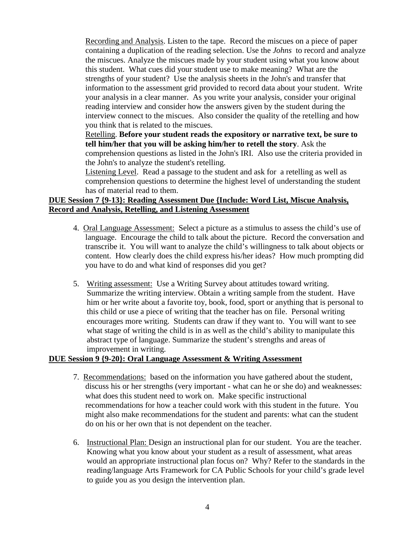Recording and Analysis. Listen to the tape. Record the miscues on a piece of paper containing a duplication of the reading selection. Use the *Johns* to record and analyze the miscues. Analyze the miscues made by your student using what you know about this student. What cues did your student use to make meaning? What are the strengths of your student? Use the analysis sheets in the John's and transfer that information to the assessment grid provided to record data about your student. Write your analysis in a clear manner. As you write your analysis, consider your original reading interview and consider how the answers given by the student during the interview connect to the miscues. Also consider the quality of the retelling and how you think that is related to the miscues.

Retelling. **Before your student reads the expository or narrative text, be sure to tell him/her that you will be asking him/her to retell the story**. Ask the comprehension questions as listed in the John's IRI. Also use the criteria provided in the John's to analyze the student's retelling.

Listening Level. Read a passage to the student and ask for a retelling as well as comprehension questions to determine the highest level of understanding the student has of material read to them.

### **DUE Session 7 {9-13}: Reading Assessment Due {Include: Word List, Miscue Analysis, Record and Analysis, Retelling, and Listening Assessment**

- 4. Oral Language Assessment: Select a picture as a stimulus to assess the child's use of language. Encourage the child to talk about the picture. Record the conversation and transcribe it. You will want to analyze the child's willingness to talk about objects or content. How clearly does the child express his/her ideas? How much prompting did you have to do and what kind of responses did you get?
- 5. Writing assessment: Use a Writing Survey about attitudes toward writing. Summarize the writing interview. Obtain a writing sample from the student. Have him or her write about a favorite toy, book, food, sport or anything that is personal to this child or use a piece of writing that the teacher has on file. Personal writing encourages more writing. Students can draw if they want to. You will want to see what stage of writing the child is in as well as the child's ability to manipulate this abstract type of language. Summarize the student's strengths and areas of improvement in writing.

### **DUE Session 9 {9-20}: Oral Language Assessment & Writing Assessment**

- 7. Recommendations: based on the information you have gathered about the student, discuss his or her strengths (very important - what can he or she do) and weaknesses: what does this student need to work on. Make specific instructional recommendations for how a teacher could work with this student in the future. You might also make recommendations for the student and parents: what can the student do on his or her own that is not dependent on the teacher.
- 6. Instructional Plan: Design an instructional plan for our student. You are the teacher. Knowing what you know about your student as a result of assessment, what areas would an appropriate instructional plan focus on? Why? Refer to the standards in the reading/language Arts Framework for CA Public Schools for your child's grade level to guide you as you design the intervention plan.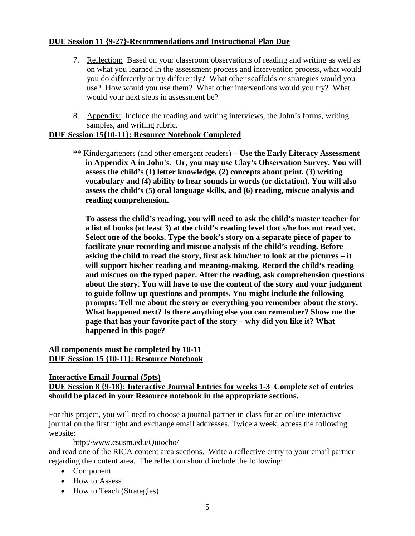### **DUE Session 11 {9-27}-Recommendations and Instructional Plan Due**

- 7. Reflection: Based on your classroom observations of reading and writing as well as on what you learned in the assessment process and intervention process, what would you do differently or try differently? What other scaffolds or strategies would you use? How would you use them? What other interventions would you try? What would your next steps in assessment be?
- 8. Appendix: Include the reading and writing interviews, the John's forms, writing samples, and writing rubric.

### **DUE Session 15{10-11}: Resource Notebook Completed**

**\*\*** Kindergarteners (and other emergent readers) **– Use the Early Literacy Assessment in Appendix A in John's. Or, you may use Clay's Observation Survey. You will assess the child's (1) letter knowledge, (2) concepts about print, (3) writing vocabulary and (4) ability to hear sounds in words (or dictation). You will also assess the child's (5) oral language skills, and (6) reading, miscue analysis and reading comprehension.** 

**To assess the child's reading, you will need to ask the child's master teacher for a list of books (at least 3) at the child's reading level that s/he has not read yet. Select one of the books. Type the book's story on a separate piece of paper to facilitate your recording and miscue analysis of the child's reading. Before asking the child to read the story, first ask him/her to look at the pictures – it will support his/her reading and meaning-making. Record the child's reading and miscues on the typed paper. After the reading, ask comprehension questions about the story. You will have to use the content of the story and your judgment to guide follow up questions and prompts. You might include the following prompts: Tell me about the story or everything you remember about the story. What happened next? Is there anything else you can remember? Show me the page that has your favorite part of the story – why did you like it? What happened in this page?** 

### **All components must be completed by 10-11 DUE Session 15 {10-11}: Resource Notebook**

### **Interactive Email Journal (5pts)**

**DUE Session 8 {9-18}: Interactive Journal Entries for weeks 1-3 Complete set of entries should be placed in your Resource notebook in the appropriate sections.**

For this project, you will need to choose a journal partner in class for an online interactive journal on the first night and exchange email addresses. Twice a week, access the following website:

### http://www.csusm.edu/Quiocho/

and read one of the RICA content area sections. Write a reflective entry to your email partner regarding the content area. The reflection should include the following:

- Component
- How to Assess
- How to Teach (Strategies)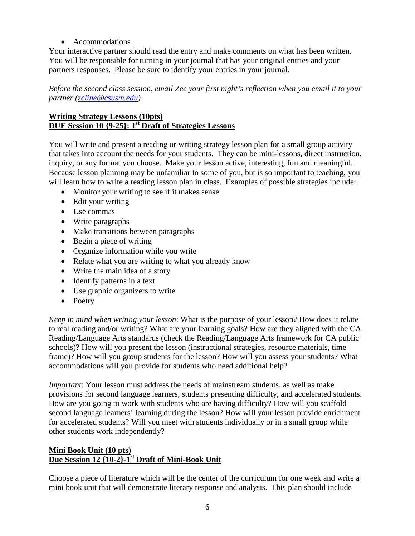• Accommodations

Your interactive partner should read the entry and make comments on what has been written. You will be responsible for turning in your journal that has your original entries and your partners responses. Please be sure to identify your entries in your journal.

*Before the second class session, email Zee your first night's reflection when you email it to your partner [\(zcline@csusm.edu\)](mailto:zcline@csusm.edu)*

## **Writing Strategy Lessons (10pts) DUE Session 10 {9-25}: 1st Draft of Strategies Lessons**

You will write and present a reading or writing strategy lesson plan for a small group activity that takes into account the needs for your students. They can be mini-lessons, direct instruction, inquiry, or any format you choose. Make your lesson active, interesting, fun and meaningful. Because lesson planning may be unfamiliar to some of you, but is so important to teaching, you will learn how to write a reading lesson plan in class. Examples of possible strategies include:

- Monitor your writing to see if it makes sense
- Edit your writing
- Use commas
- Write paragraphs
- Make transitions between paragraphs
- Begin a piece of writing
- Organize information while you write
- Relate what you are writing to what you already know
- Write the main idea of a story
- Identify patterns in a text
- Use graphic organizers to write
- Poetry

*Keep in mind when writing your lesson*: What is the purpose of your lesson? How does it relate to real reading and/or writing? What are your learning goals? How are they aligned with the CA Reading/Language Arts standards (check the Reading/Language Arts framework for CA public schools)? How will you present the lesson (instructional strategies, resource materials, time frame)? How will you group students for the lesson? How will you assess your students? What accommodations will you provide for students who need additional help?

*Important*: Your lesson must address the needs of mainstream students, as well as make provisions for second language learners, students presenting difficulty, and accelerated students. How are you going to work with students who are having difficulty? How will you scaffold second language learners' learning during the lesson? How will your lesson provide enrichment for accelerated students? Will you meet with students individually or in a small group while other students work independently?

# **Mini Book Unit (10 pts) Due Session 12 {10-2}-1st Draft of Mini-Book Unit**

Choose a piece of literature which will be the center of the curriculum for one week and write a mini book unit that will demonstrate literary response and analysis. This plan should include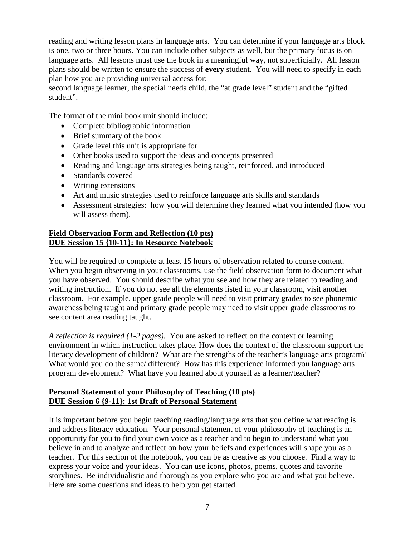reading and writing lesson plans in language arts. You can determine if your language arts block is one, two or three hours. You can include other subjects as well, but the primary focus is on language arts. All lessons must use the book in a meaningful way, not superficially. All lesson plans should be written to ensure the success of **every** student. You will need to specify in each plan how you are providing universal access for:

second language learner, the special needs child, the "at grade level" student and the "gifted student".

The format of the mini book unit should include:

- Complete bibliographic information
- Brief summary of the book
- Grade level this unit is appropriate for
- Other books used to support the ideas and concepts presented
- Reading and language arts strategies being taught, reinforced, and introduced
- Standards covered
- Writing extensions
- Art and music strategies used to reinforce language arts skills and standards
- Assessment strategies: how you will determine they learned what you intended (how you will assess them).

### **Field Observation Form and Reflection (10 pts) DUE Session 15 {10-11}: In Resource Notebook**

You will be required to complete at least 15 hours of observation related to course content. When you begin observing in your classrooms, use the field observation form to document what you have observed. You should describe what you see and how they are related to reading and writing instruction. If you do not see all the elements listed in your classroom, visit another classroom. For example, upper grade people will need to visit primary grades to see phonemic awareness being taught and primary grade people may need to visit upper grade classrooms to see content area reading taught.

*A reflection is required (1-2 pages).* You are asked to reflect on the context or learning environment in which instruction takes place. How does the context of the classroom support the literacy development of children? What are the strengths of the teacher's language arts program? What would you do the same/ different? How has this experience informed you language arts program development? What have you learned about yourself as a learner/teacher?

### **Personal Statement of your Philosophy of Teaching (10 pts) DUE Session 6 {9-11}: 1st Draft of Personal Statement**

It is important before you begin teaching reading/language arts that you define what reading is and address literacy education. Your personal statement of your philosophy of teaching is an opportunity for you to find your own voice as a teacher and to begin to understand what you believe in and to analyze and reflect on how your beliefs and experiences will shape you as a teacher. For this section of the notebook, you can be as creative as you choose. Find a way to express your voice and your ideas. You can use icons, photos, poems, quotes and favorite storylines. Be individualistic and thorough as you explore who you are and what you believe. Here are some questions and ideas to help you get started.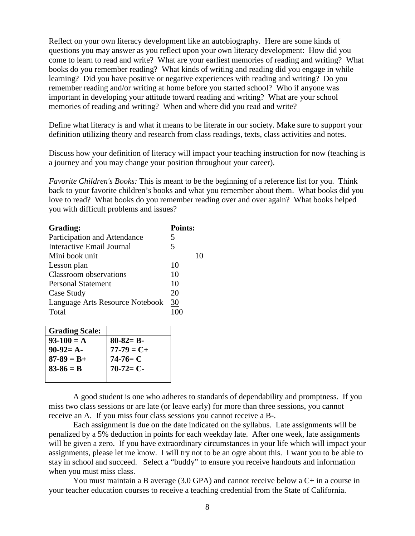Reflect on your own literacy development like an autobiography. Here are some kinds of questions you may answer as you reflect upon your own literacy development: How did you come to learn to read and write? What are your earliest memories of reading and writing? What books do you remember reading? What kinds of writing and reading did you engage in while learning? Did you have positive or negative experiences with reading and writing? Do you remember reading and/or writing at home before you started school? Who if anyone was important in developing your attitude toward reading and writing? What are your school memories of reading and writing? When and where did you read and write?

Define what literacy is and what it means to be literate in our society. Make sure to support your definition utilizing theory and research from class readings, texts, class activities and notes.

Discuss how your definition of literacy will impact your teaching instruction for now (teaching is a journey and you may change your position throughout your career).

*Favorite Children's Books:* This is meant to be the beginning of a reference list for you. Think back to your favorite children's books and what you remember about them. What books did you love to read? What books do you remember reading over and over again? What books helped you with difficult problems and issues?

| Grading:                         | Points: |
|----------------------------------|---------|
| Participation and Attendance     | 5       |
| <b>Interactive Email Journal</b> | 5       |
| Mini book unit                   |         |
| Lesson plan                      | 10      |
| Classroom observations           | 10      |
| <b>Personal Statement</b>        | 10      |
| Case Study                       | 20      |
| Language Arts Resource Notebook  | 30      |
| Total                            |         |
|                                  |         |

| <b>Grading Scale:</b> |                            |
|-----------------------|----------------------------|
| $93-100 = A$          | $80-82= B-$                |
| $90-92= A-$           | $77-79 = C+$<br>$74-76= C$ |
| $87 - 89 = B +$       |                            |
| $83-86 = B$           | $70-72=C-$                 |
|                       |                            |

A good student is one who adheres to standards of dependability and promptness. If you miss two class sessions or are late (or leave early) for more than three sessions, you cannot receive an A. If you miss four class sessions you cannot receive a B-.

Each assignment is due on the date indicated on the syllabus. Late assignments will be penalized by a 5% deduction in points for each weekday late. After one week, late assignments will be given a zero. If you have extraordinary circumstances in your life which will impact your assignments, please let me know. I will try not to be an ogre about this. I want you to be able to stay in school and succeed. Select a "buddy" to ensure you receive handouts and information when you must miss class.

You must maintain a B average (3.0 GPA) and cannot receive below a C+ in a course in your teacher education courses to receive a teaching credential from the State of California.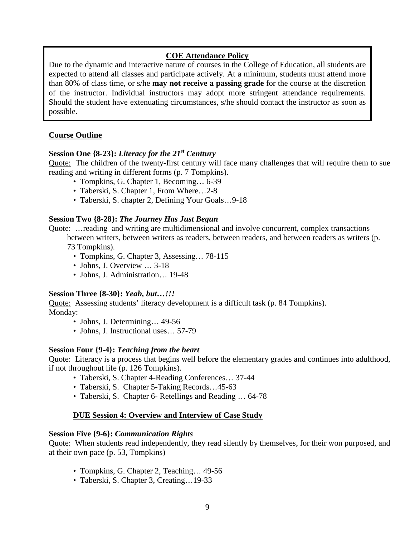## **COE Attendance Policy**

Due to the dynamic and interactive nature of courses in the College of Education, all students are expected to attend all classes and participate actively. At a minimum, students must attend more than 80% of class time, or s/he **may not receive a passing grade** for the course at the discretion of the instructor. Individual instructors may adopt more stringent attendance requirements. Should the student have extenuating circumstances, s/he should contact the instructor as soon as possible.

## **Course Outline**

## **Session One {8-23}:** *Literacy for the 21st Centtury*

Quote: The children of the twenty-first century will face many challenges that will require them to sue reading and writing in different forms (p. 7 Tompkins).

- Tompkins, G. Chapter 1, Becoming... 6-39
- Taberski, S. Chapter 1, From Where...2-8
- Taberski, S. chapter 2, Defining Your Goals…9-18

### **Session Two {8-28}:** *The Journey Has Just Begun*

- Quote: …reading and writing are multidimensional and involve concurrent, complex transactions between writers, between writers as readers, between readers, and between readers as writers (p. 73 Tompkins).
	- Tompkins, G. Chapter 3, Assessing... 78-115
	- Johns, J. Overview ... 3-18
	- Johns, J. Administration… 19-48

### **Session Three {8-30}:** *Yeah, but…!!!*

Quote: Assessing students' literacy development is a difficult task (p. 84 Tompkins). Monday:

- Johns, J. Determining... 49-56
- Johns, J. Instructional uses... 57-79

### **Session Four {9-4}:** *Teaching from the heart*

Quote: Literacy is a process that begins well before the elementary grades and continues into adulthood, if not throughout life (p. 126 Tompkins).

- Taberski, S. Chapter 4-Reading Conferences… 37-44
- Taberski, S. Chapter 5-Taking Records...45-63
- Taberski, S. Chapter 6- Retellings and Reading ... 64-78

## **DUE Session 4: Overview and Interview of Case Study**

### **Session Five {9-6}:** *Communication Rights*

Quote: When students read independently, they read silently by themselves, for their won purposed, and at their own pace (p. 53, Tompkins)

- Tompkins, G. Chapter 2, Teaching... 49-56
- Taberski, S. Chapter 3, Creating…19-33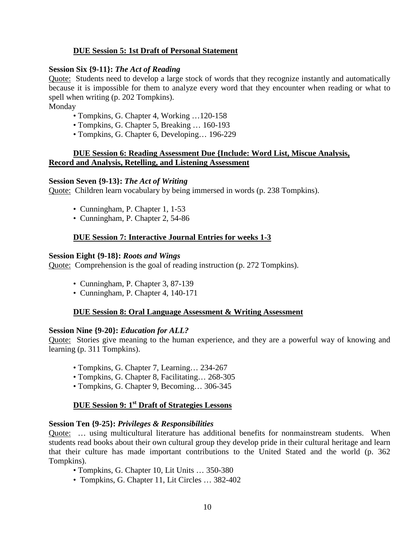## **DUE Session 5: 1st Draft of Personal Statement**

### **Session Six {9-11}:** *The Act of Reading*

Quote: Students need to develop a large stock of words that they recognize instantly and automatically because it is impossible for them to analyze every word that they encounter when reading or what to spell when writing (p. 202 Tompkins).

Monday

- Tompkins, G. Chapter 4, Working …120-158
- Tompkins, G. Chapter 5, Breaking … 160-193
- Tompkins, G. Chapter 6, Developing… 196-229

### **DUE Session 6: Reading Assessment Due {Include: Word List, Miscue Analysis, Record and Analysis, Retelling, and Listening Assessment**

#### **Session Seven {9-13}:** *The Act of Writing*

Quote: Children learn vocabulary by being immersed in words (p. 238 Tompkins).

- Cunningham, P. Chapter 1, 1-53
- Cunningham, P. Chapter 2, 54-86

### **DUE Session 7: Interactive Journal Entries for weeks 1-3**

#### **Session Eight {9-18}:** *Roots and Wings*

Quote: Comprehension is the goal of reading instruction (p. 272 Tompkins).

- •Cunningham, P. Chapter 3, 87-139
- •Cunningham, P. Chapter 4, 140-171

#### **DUE Session 8: Oral Language Assessment & Writing Assessment**

#### **Session Nine {9-20}:** *Education for ALL?*

Quote: Stories give meaning to the human experience, and they are a powerful way of knowing and learning (p. 311 Tompkins).

- Tompkins, G. Chapter 7, Learning… 234-267
- Tompkins, G. Chapter 8, Facilitating… 268-305
- Tompkins, G. Chapter 9, Becoming… 306-345

# **DUE Session 9: 1st Draft of Strategies Lessons**

#### **Session Ten {9-25}:** *Privileges & Responsibilities*

Quote: … using multicultural literature has additional benefits for nonmainstream students. When students read books about their own cultural group they develop pride in their cultural heritage and learn that their culture has made important contributions to the United Stated and the world (p. 362 Tompkins).

- Tompkins, G. Chapter 10, Lit Units … 350-380
- Tompkins, G. Chapter 11, Lit Circles … 382-402